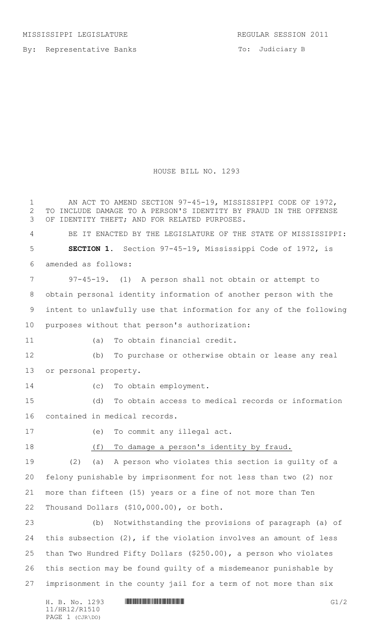By: Representative Banks

To: Judiciary B

## HOUSE BILL NO. 1293

H. B. No. 1293 **HRINING COMMUNISION COMMUNISION** 1 AN ACT TO AMEND SECTION 97-45-19, MISSISSIPPI CODE OF 1972, TO INCLUDE DAMAGE TO A PERSON'S IDENTITY BY FRAUD IN THE OFFENSE OF IDENTITY THEFT; AND FOR RELATED PURPOSES. BE IT ENACTED BY THE LEGISLATURE OF THE STATE OF MISSISSIPPI: **SECTION 1.** Section 97-45-19, Mississippi Code of 1972, is amended as follows: 97-45-19. (1) A person shall not obtain or attempt to obtain personal identity information of another person with the intent to unlawfully use that information for any of the following purposes without that person's authorization: (a) To obtain financial credit. (b) To purchase or otherwise obtain or lease any real or personal property. (c) To obtain employment. (d) To obtain access to medical records or information contained in medical records. (e) To commit any illegal act. (f) To damage a person's identity by fraud. (2) (a) A person who violates this section is guilty of a felony punishable by imprisonment for not less than two (2) nor more than fifteen (15) years or a fine of not more than Ten Thousand Dollars (\$10,000.00), or both. (b) Notwithstanding the provisions of paragraph (a) of this subsection (2), if the violation involves an amount of less than Two Hundred Fifty Dollars (\$250.00), a person who violates this section may be found guilty of a misdemeanor punishable by imprisonment in the county jail for a term of not more than six

11/HR12/R1510 PAGE 1 (CJR\DO)